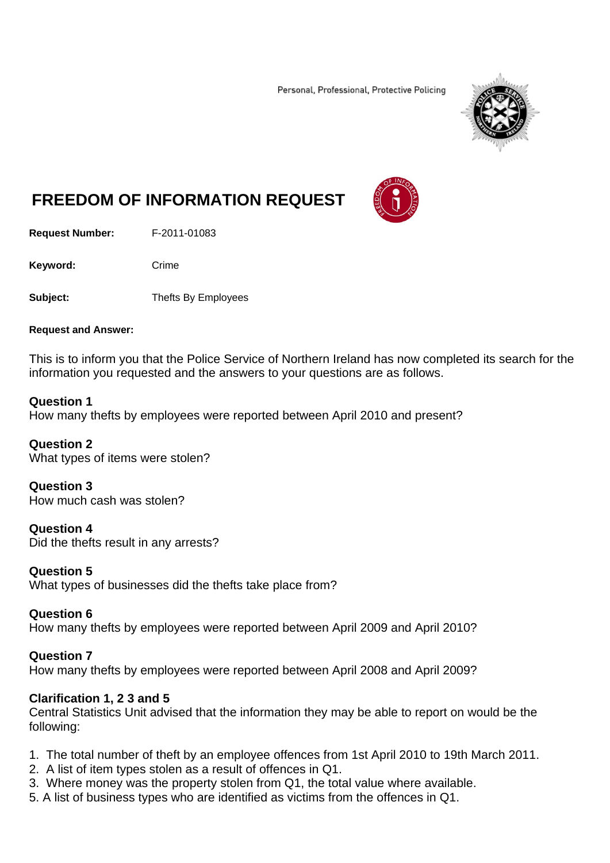Personal, Professional, Protective Policing



# **FREEDOM OF INFORMATION REQUEST**

**Request Number:** F-2011-01083

Keyword: Crime

**Subject:** Thefts By Employees

#### **Request and Answer:**

This is to inform you that the Police Service of Northern Ireland has now completed its search for the information you requested and the answers to your questions are as follows.

#### **Question 1**

How many thefts by employees were reported between April 2010 and present?

**Question 2**  What types of items were stolen?

**Question 3**  How much cash was stolen?

**Question 4**  Did the thefts result in any arrests?

**Question 5**

What types of businesses did the thefts take place from?

#### **Question 6**

How many thefts by employees were reported between April 2009 and April 2010?

## **Question 7**

How many thefts by employees were reported between April 2008 and April 2009?

## **Clarification 1, 2 3 and 5**

Central Statistics Unit advised that the information they may be able to report on would be the following:

- 1. The total number of theft by an employee offences from 1st April 2010 to 19th March 2011.
- 2. A list of item types stolen as a result of offences in Q1.
- 3. Where money was the property stolen from Q1, the total value where available.
- 5. A list of business types who are identified as victims from the offences in Q1.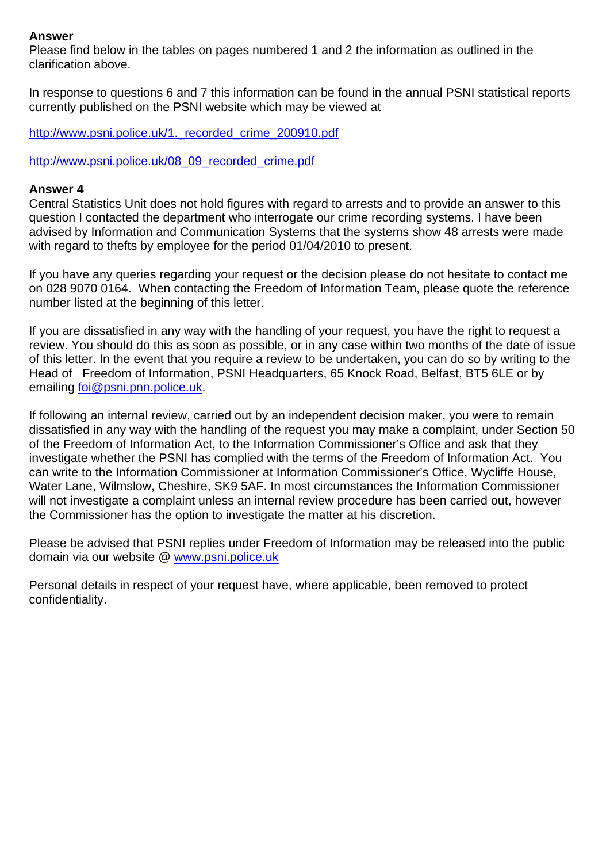#### **Answer**

Please find below in the tables on pages numbered 1 and 2 the information as outlined in the clarification above.

In response to questions 6 and 7 this information can be found in the annual PSNI statistical reports currently published on the PSNI website which may be viewed at

http://www.psni.police.uk/1. recorded crime 200910.pdf

http://www.psni.police.uk/08\_09\_recorded\_crime.pdf

#### **Answer 4**

Central Statistics Unit does not hold figures with regard to arrests and to provide an answer to this question I contacted the department who interrogate our crime recording systems. I have been advised by Information and Communication Systems that the systems show 48 arrests were made with regard to thefts by employee for the period 01/04/2010 to present.

If you have any queries regarding your request or the decision please do not hesitate to contact me on 028 9070 0164. When contacting the Freedom of Information Team, please quote the reference number listed at the beginning of this letter.

If you are dissatisfied in any way with the handling of your request, you have the right to request a review. You should do this as soon as possible, or in any case within two months of the date of issue of this letter. In the event that you require a review to be undertaken, you can do so by writing to the Head of Freedom of Information, PSNI Headquarters, 65 Knock Road, Belfast, BT5 6LE or by emailing foi@psni.pnn.police.uk.

If following an internal review, carried out by an independent decision maker, you were to remain dissatisfied in any way with the handling of the request you may make a complaint, under Section 50 of the Freedom of Information Act, to the Information Commissioner's Office and ask that they investigate whether the PSNI has complied with the terms of the Freedom of Information Act. You can write to the Information Commissioner at Information Commissioner's Office, Wycliffe House, Water Lane, Wilmslow, Cheshire, SK9 5AF. In most circumstances the Information Commissioner will not investigate a complaint unless an internal review procedure has been carried out, however the Commissioner has the option to investigate the matter at his discretion.

Please be advised that PSNI replies under Freedom of Information may be released into the public domain via our website @ www.psni.police.uk

Personal details in respect of your request have, where applicable, been removed to protect confidentiality.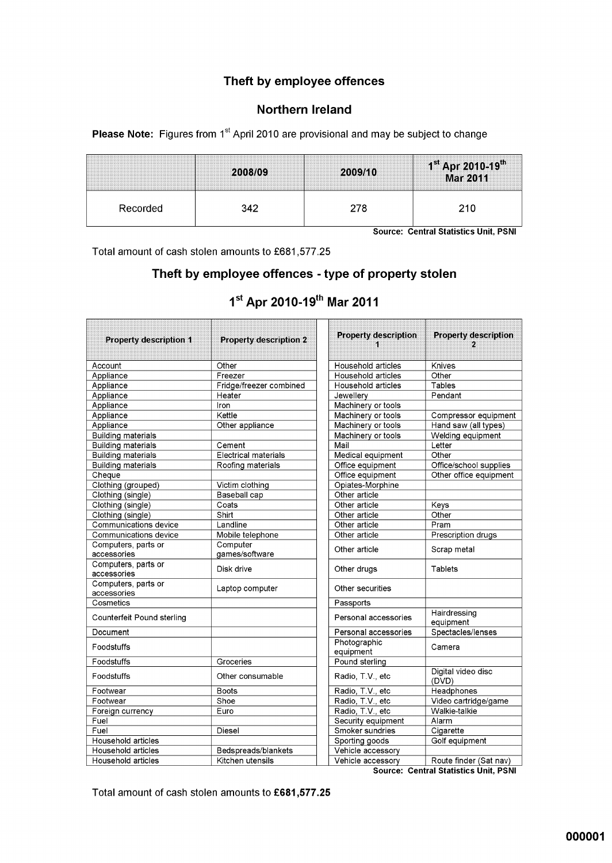### Theft by employee offences

#### Northern Ireland

Please Note: Figures from 1<sup>st</sup> April 2010 are provisional and may be subject to change

|          | 2008/09 | 2009/10 | $1^{st}$ Apr 2010-19 <sup>th</sup><br>Mar 2011 |
|----------|---------|---------|------------------------------------------------|
| Recorded | 342     | 278     |                                                |

Source: Central Statistics Unit, PSNI

.<br>...

Total amount of cash stolen amounts to £681,577.25

## Theft by employee offences - type of property stolen

| <b>Property description 1</b>      | <b>Property description 2</b> | <b>Property description</b> | <b>Property description</b>                  |
|------------------------------------|-------------------------------|-----------------------------|----------------------------------------------|
| Account                            | Other                         | Household articles          | Knives                                       |
| Appliance                          | Freezer                       | Household articles          | Other                                        |
| Appliance                          | Fridge/freezer combined       | Household articles          | Tables                                       |
| Appliance                          | Heater                        | Jewellery                   | Pendant                                      |
| Appliance                          | Iron                          | Machinery or tools          |                                              |
| Appliance                          | Kettle                        | Machinery or tools          | Compressor equipment                         |
| Appliance                          | Other appliance               | Machinery or tools          | Hand saw (all types)                         |
| <b>Building materials</b>          |                               | Machinery or tools          | Welding equipment                            |
| <b>Building materials</b>          | Cement                        | Mail                        | Letter                                       |
| <b>Building materials</b>          | <b>Electrical materials</b>   | Medical equipment           | Other                                        |
| <b>Building materials</b>          | Roofing materials             | Office equipment            | Office/school supplies                       |
| Cheque                             |                               | Office equipment            | Other office equipment                       |
| Clothing (grouped)                 | Victim clothing               | Opiates Morphine            |                                              |
| Clothing (single)                  | Baseball cap                  | Other article               |                                              |
| Clothing (single)                  | Coats                         | Other article               | Keys                                         |
| Clothing (single)                  | Shirt                         | Other article               | Other                                        |
| Communications device              | Landline                      | Other article               | Pram                                         |
| Communications device              | Mobile telephone              | Other article               | Prescription drugs                           |
| Computers, parts or                | Computer                      | Other article               | Scrap metal                                  |
| accessories                        | games/software                |                             |                                              |
| Computers, parts or<br>accessories | Disk drive                    | Other drugs                 | <b>Tablets</b>                               |
| Computers, parts or<br>accessories | Laptop computer               | Other securities            |                                              |
| Cosmetics                          |                               | Passports                   |                                              |
| Counterfeit Pound sterling         |                               | Personal accessories        | Hairdressing<br>equipment                    |
| Document                           |                               | Personal accessories        | Spectacles/lenses                            |
| Foodstuffs                         |                               | Photographic<br>equipment   | Camera                                       |
| Foodstuffs                         | Groceries                     | Pound sterling              |                                              |
| Foodstuffs                         | Other consumable              | Radio, T.V., etc            | Digital video disc<br>(DVD)                  |
| Footwear                           | <b>Boots</b>                  | Radio, T.V., etc            | Headphones                                   |
| Footwear                           | Shoe                          | Radio, T.V., etc            | Video cartridge/game                         |
| Foreign currency                   | Euro                          | Radio, T.V., etc            | Walkie-talkie                                |
| Fuel                               |                               | Security equipment          | Alarm                                        |
| Fuel                               | Diesel                        | Smoker sundries             | Cigarette                                    |
| Household articles                 |                               | Sporting goods              | Golf equipment                               |
| Household articles                 | Bedspreads/blankets           | Vehicle accessory           |                                              |
| Household articles                 | Kitchen utensils              | Vehicle accessory           | Route finder (Sat nav)                       |
|                                    |                               |                             | <b>Source: Central Statistics Unit, PSNI</b> |

# 1st Apr 2010-19th Mar 2011

Total amount of cash stolen amounts to £681,577.25